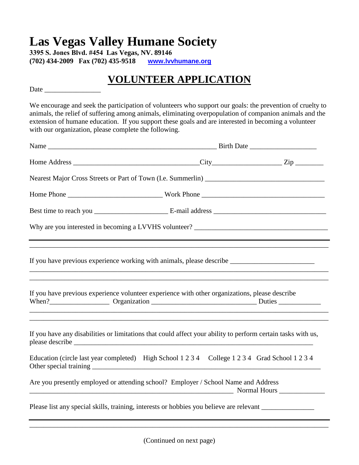## **Las Vegas Valley Humane Society**

**3395 S. Jones Blvd. #454 Las Vegas, NV. 89146 (702) 434-2009 Fax (702) 435-9518 www.lvvhumane.org**

## **VOLUNTEER APPLICATION**

Date

We encourage and seek the participation of volunteers who support our goals: the prevention of cruelty to animals, the relief of suffering among animals, eliminating overpopulation of companion animals and the extension of humane education. If you support these goals and are interested in becoming a volunteer with our organization, please complete the following.

| If you have previous experience working with animals, please describe ______________________________         |  |  |
|--------------------------------------------------------------------------------------------------------------|--|--|
| If you have previous experience volunteer experience with other organizations, please describe               |  |  |
| If you have any disabilities or limitations that could affect your ability to perform certain tasks with us, |  |  |
| Education (circle last year completed) High School 1 2 3 4 College 1 2 3 4 Grad School 1 2 3 4               |  |  |
| Are you presently employed or attending school? Employer / School Name and Address                           |  |  |
| Please list any special skills, training, interests or hobbies you believe are relevant                      |  |  |

\_\_\_\_\_\_\_\_\_\_\_\_\_\_\_\_\_\_\_\_\_\_\_\_\_\_\_\_\_\_\_\_\_\_\_\_\_\_\_\_\_\_\_\_\_\_\_\_\_\_\_\_\_\_\_\_\_\_\_\_\_\_\_\_\_\_\_\_\_\_\_\_\_\_\_\_\_\_\_\_\_\_\_\_\_